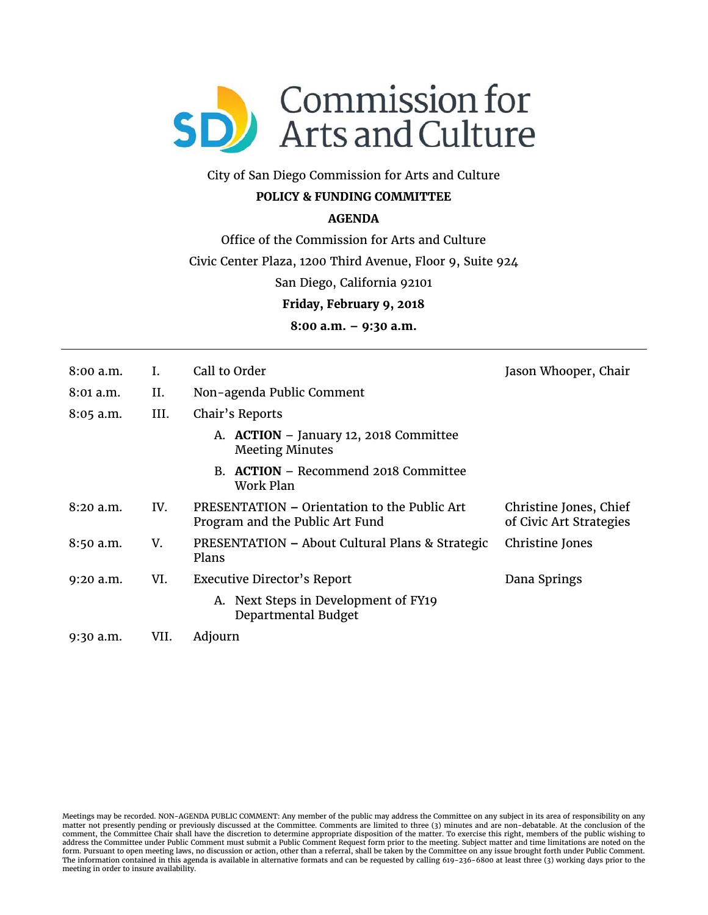

# City of San Diego Commission for Arts and Culture

## **POLICY & FUNDING COMMITTEE**

### **AGENDA**

Office of the Commission for Arts and Culture

Civic Center Plaza, 1200 Third Avenue, Floor 9, Suite 924

San Diego, California 92101

**Friday, February 9, 2018**

**8:00 a.m. – 9:30 a.m.**

| $8:00$ a.m. | I.   | Call to Order                                                                   | Jason Whooper, Chair                              |
|-------------|------|---------------------------------------------------------------------------------|---------------------------------------------------|
| $8:01$ a.m. | Н.   | Non-agenda Public Comment                                                       |                                                   |
| $8:05$ a.m. | III. | Chair's Reports                                                                 |                                                   |
|             |      | A. ACTION - January 12, 2018 Committee<br><b>Meeting Minutes</b>                |                                                   |
|             |      | <b>ACTION</b> – Recommend 2018 Committee<br>В.<br>Work Plan                     |                                                   |
| 8:20 a.m.   | IV.  | PRESENTATION – Orientation to the Public Art<br>Program and the Public Art Fund | Christine Jones, Chief<br>of Civic Art Strategies |
| 8:50 a.m.   | V.   | PRESENTATION – About Cultural Plans & Strategic<br>Plans                        | Christine Jones                                   |
| $9:20$ a.m. | VI.  | Executive Director's Report                                                     | Dana Springs                                      |
|             |      | A. Next Steps in Development of FY19<br>Departmental Budget                     |                                                   |
| 9:30 a.m.   | VII. | Adjourn                                                                         |                                                   |

Meetings may be recorded. NON-AGENDA PUBLIC COMMENT: Any member of the public may address the Committee on any subject in its area of responsibility on any<br>matter not presently pending or previously discussed at the Commit address the Committee under Public Comment must submit a Public Comment Request form prior to the meeting. Subject matter and time limitations are noted on the<br>form. Pursuant to open meeting laws, no discussion or action, The information contained in this agenda is available in alternative formats and can be requested by calling 619-236-6800 at least three (3) working days prior to the meeting in order to insure availability.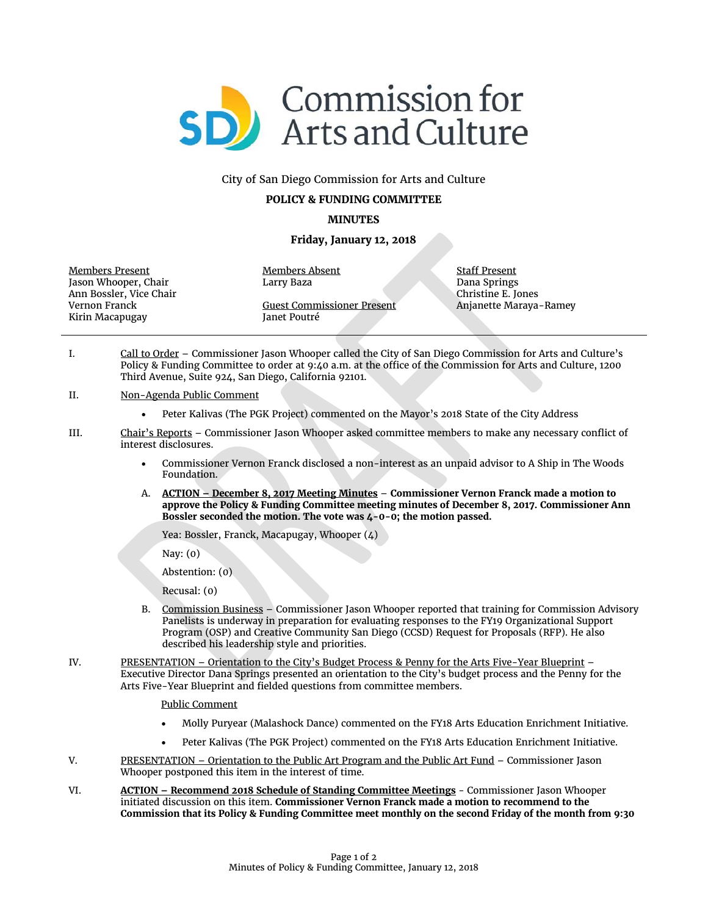

#### City of San Diego Commission for Arts and Culture

#### **POLICY & FUNDING COMMITTEE**

#### **MINUTES**

#### **Friday, January 12, 2018**

Members Present Jason Whooper, Chair Ann Bossler, Vice Chair Vernon Franck Kirin Macapugay

Guest Commissioner Present Janet Poutré

Members Absent Larry Baza

Staff Present Dana Springs Christine E. Jones Anjanette Maraya-Ramey

- I. Call to Order Commissioner Jason Whooper called the City of San Diego Commission for Arts and Culture's Policy & Funding Committee to order at 9:40 a.m. at the office of the Commission for Arts and Culture, 1200 Third Avenue, Suite 924, San Diego, California 92101.
- II. Non-Agenda Public Comment
	- Peter Kalivas (The PGK Project) commented on the Mayor's 2018 State of the City Address
- III. Chair's Reports Commissioner Jason Whooper asked committee members to make any necessary conflict of interest disclosures.
	- Commissioner Vernon Franck disclosed a non-interest as an unpaid advisor to A Ship in The Woods Foundation.
	- A. **ACTION – December 8, 2017 Meeting Minutes Commissioner Vernon Franck made a motion to approve the Policy & Funding Committee meeting minutes of December 8, 2017. Commissioner Ann Bossler seconded the motion. The vote was 4-0-0; the motion passed.**

Yea: Bossler, Franck, Macapugay, Whooper (4)

Nay: (0)

Abstention: (0)

Recusal: (0)

- B. Commission Business Commissioner Jason Whooper reported that training for Commission Advisory Panelists is underway in preparation for evaluating responses to the FY19 Organizational Support Program (OSP) and Creative Community San Diego (CCSD) Request for Proposals (RFP). He also described his leadership style and priorities.
- IV. PRESENTATION Orientation to the City's Budget Process & Penny for the Arts Five-Year Blueprint Executive Director Dana Springs presented an orientation to the City's budget process and the Penny for the Arts Five-Year Blueprint and fielded questions from committee members.
	- Public Comment
	- Molly Puryear (Malashock Dance) commented on the FY18 Arts Education Enrichment Initiative.
	- Peter Kalivas (The PGK Project) commented on the FY18 Arts Education Enrichment Initiative.
- V. PRESENTATION Orientation to the Public Art Program and the Public Art Fund Commissioner Jason Whooper postponed this item in the interest of time.
- VI. **ACTION – Recommend 2018 Schedule of Standing Committee Meetings** Commissioner Jason Whooper initiated discussion on this item. **Commissioner Vernon Franck made a motion to recommend to the Commission that its Policy & Funding Committee meet monthly on the second Friday of the month from 9:30**